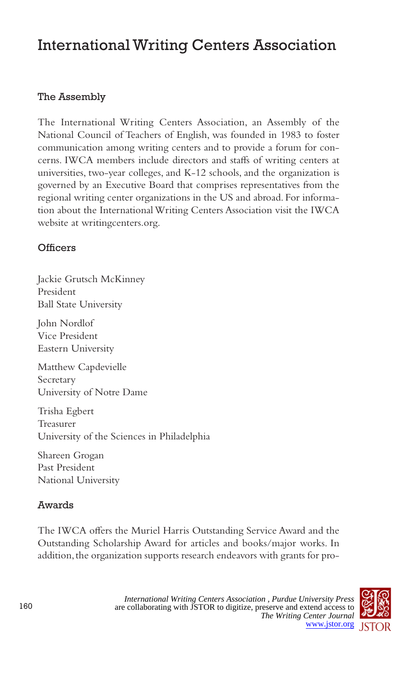# International Writing Centers Association

## The Assembly

The International Writing Centers Association, an Assembly of the National Council of Teachers of English, was founded in 1983 to foster communication among writing centers and to provide a forum for concerns. IWCA members include directors and staffs of writing centers at universities, two-year colleges, and K-12 schools, and the organization is governed by an Executive Board that comprises representatives from the regional writing center organizations in the US and abroad. For information about the International Writing Centers Association visit the IWCA website at writingcenters.org.

### **Officers**

Jackie Grutsch McKinney President Ball State University

John Nordlof Vice President Eastern University

Matthew Capdevielle Secretary University of Notre Dame

Trisha Egbert Treasurer University of the Sciences in Philadelphia

Shareen Grogan Past President National University

## Awards

The IWCA offers the Muriel Harris Outstanding Service Award and the Outstanding Scholarship Award for articles and books/major works. In addition, the organization supports research endeavors with grants for pro-

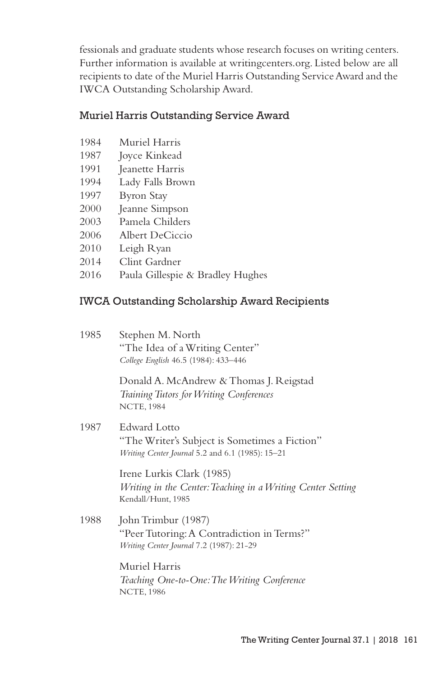fessionals and graduate students whose research focuses on writing centers. Further information is available at writingcenters.org. Listed below are all recipients to date of the Muriel Harris Outstanding Service Award and the IWCA Outstanding Scholarship Award.

#### Muriel Harris Outstanding Service Award

- 1984 Muriel Harris
- 1987 Joyce Kinkead
- 1991 Jeanette Harris
- 1994 Lady Falls Brown
- 1997 Byron Stay
- 2000 Jeanne Simpson
- 2003 Pamela Childers
- 2006 Albert DeCiccio
- 2010 Leigh Ryan
- 2014 Clint Gardner
- 2016 Paula Gillespie & Bradley Hughes

#### IWCA Outstanding Scholarship Award Recipients

| 1985 | Stephen M. North<br>"The Idea of a Writing Center"<br>College English 46.5 (1984): 433-446                               |
|------|--------------------------------------------------------------------------------------------------------------------------|
|      | Donald A. McAndrew & Thomas J. Reigstad<br>Training Tutors for Writing Conferences<br><b>NCTE, 1984</b>                  |
| 1987 | <b>Edward Lotto</b><br>"The Writer's Subject is Sometimes a Fiction"<br>Writing Center Journal 5.2 and 6.1 (1985): 15-21 |
|      | Irene Lurkis Clark (1985)<br>Writing in the Center: Teaching in a Writing Center Setting<br>Kendall/Hunt, 1985           |
| 1988 | John Trimbur (1987)<br>"Peer Tutoring: A Contradiction in Terms?"<br>Writing Center Journal 7.2 (1987): 21-29            |
|      | Muriel Harris<br>Teaching One-to-One: The Writing Conference<br><b>NCTE, 1986</b>                                        |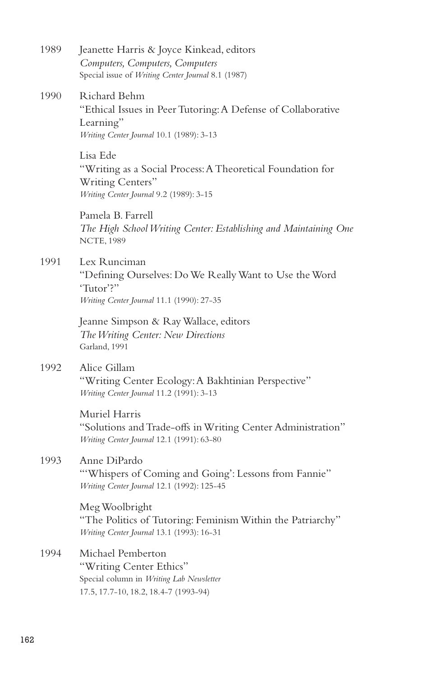| 1989 | Jeanette Harris & Joyce Kinkead, editors<br>Computers, Computers, Computers<br>Special issue of Writing Center Journal 8.1 (1987)     |
|------|---------------------------------------------------------------------------------------------------------------------------------------|
| 1990 | Richard Behm<br>"Ethical Issues in Peer Tutoring: A Defense of Collaborative<br>Learning"<br>Writing Center Journal 10.1 (1989): 3-13 |
|      | Lisa Ede<br>"Writing as a Social Process: A Theoretical Foundation for<br>Writing Centers"<br>Writing Center Journal 9.2 (1989): 3-15 |
|      | Pamela B. Farrell<br>The High School Writing Center: Establishing and Maintaining One<br><b>NCTE, 1989</b>                            |
| 1991 | Lex Runciman<br>"Defining Ourselves: Do We Really Want to Use the Word<br>'Tutor'?"<br>Writing Center Journal 11.1 (1990): 27-35      |
|      | Jeanne Simpson & Ray Wallace, editors<br>The Writing Center: New Directions<br>Garland, 1991                                          |
| 1992 | Alice Gillam<br>"Writing Center Ecology: A Bakhtinian Perspective"<br>Writing Center Journal 11.2 (1991): 3-13                        |
|      | Muriel Harris<br>"Solutions and Trade-offs in Writing Center Administration"<br>Writing Center Journal 12.1 (1991): 63-80             |
| 1993 | Anne DiPardo<br>"Whispers of Coming and Going': Lessons from Fannie"<br>Writing Center Journal 12.1 (1992): 125-45                    |
|      | Meg Woolbright<br>"The Politics of Tutoring: Feminism Within the Patriarchy"<br>Writing Center Journal 13.1 (1993): 16-31             |
| 1994 | Michael Pemberton<br>"Writing Center Ethics"<br>Special column in Writing Lab Newsletter<br>17.5, 17.7-10, 18.2, 18.4-7 (1993-94)     |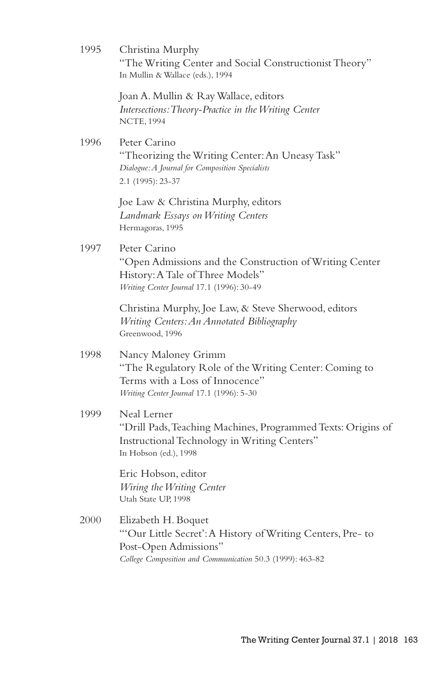| 1995 | Christina Murphy<br>"The Writing Center and Social Constructionist Theory"<br>In Mullin & Wallace (eds.), 1994                                                          |
|------|-------------------------------------------------------------------------------------------------------------------------------------------------------------------------|
|      | Joan A. Mullin & Ray Wallace, editors<br>Intersections: Theory-Practice in the Writing Center<br><b>NCTE, 1994</b>                                                      |
| 1996 | Peter Carino<br>"Theorizing the Writing Center: An Uneasy Task"<br>Dialogue: A Journal for Composition Specialists<br>2.1 (1995): 23-37                                 |
|      | Joe Law & Christina Murphy, editors<br>Landmark Essays on Writing Centers<br>Hermagoras, 1995                                                                           |
| 1997 | Peter Carino<br>"Open Admissions and the Construction of Writing Center<br>History: A Tale of Three Models"<br>Writing Center Journal 17.1 (1996): 30-49                |
|      | Christina Murphy, Joe Law, & Steve Sherwood, editors<br>Writing Centers: An Annotated Bibliography<br>Greenwood, 1996                                                   |
| 1998 | Nancy Maloney Grimm<br>"The Regulatory Role of the Writing Center: Coming to<br>Terms with a Loss of Innocence"<br>Writing Center Journal 17.1 (1996): 5-30             |
| 1999 | Neal Lerner<br>"Drill Pads, Teaching Machines, Programmed Texts: Origins of<br>Instructional Technology in Writing Centers"<br>In Hobson (ed.), 1998                    |
|      | Eric Hobson, editor<br>Wiring the Writing Center<br>Utah State UP, 1998                                                                                                 |
| 2000 | Elizabeth H. Boquet<br>"Our Little Secret': A History of Writing Centers, Pre- to<br>Post-Open Admissions"<br>College Composition and Communication 50.3 (1999): 463-82 |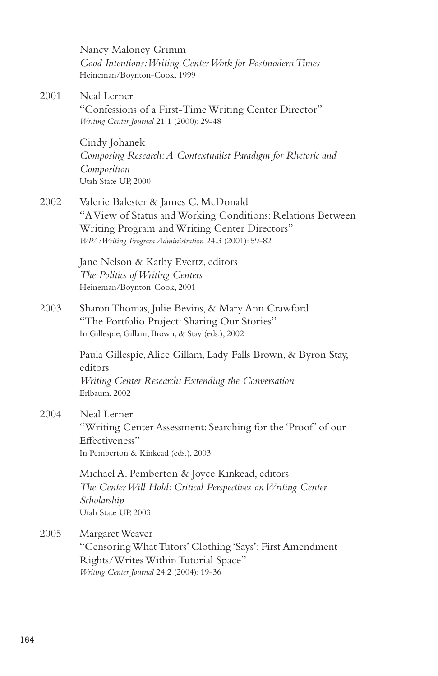|      | Nancy Maloney Grimm<br>Good Intentions: Writing Center Work for Postmodern Times<br>Heineman/Boynton-Cook, 1999                                                                                                |
|------|----------------------------------------------------------------------------------------------------------------------------------------------------------------------------------------------------------------|
| 2001 | Neal Lerner<br>"Confessions of a First-Time Writing Center Director"<br>Writing Center Journal 21.1 (2000): 29-48                                                                                              |
|      | Cindy Johanek<br>Composing Research: A Contextualist Paradigm for Rhetoric and<br>Composition<br>Utah State UP, 2000                                                                                           |
| 2002 | Valerie Balester & James C. McDonald<br>"A View of Status and Working Conditions: Relations Between<br>Writing Program and Writing Center Directors"<br>WPA: Writing Program Administration 24.3 (2001): 59-82 |
|      | Jane Nelson & Kathy Evertz, editors<br>The Politics of Writing Centers<br>Heineman/Boynton-Cook, 2001                                                                                                          |
| 2003 | Sharon Thomas, Julie Bevins, & Mary Ann Crawford<br>"The Portfolio Project: Sharing Our Stories"<br>In Gillespie, Gillam, Brown, & Stay (eds.), 2002                                                           |
|      | Paula Gillespie, Alice Gillam, Lady Falls Brown, & Byron Stay,<br>editors<br>Writing Center Research: Extending the Conversation<br>Erlbaum, 2002                                                              |
| 2004 | Neal Lerner<br>"Writing Center Assessment: Searching for the 'Proof' of our<br>Effectiveness"<br>In Pemberton & Kinkead (eds.), 2003                                                                           |
|      | Michael A. Pemberton & Joyce Kinkead, editors<br>The Center Will Hold: Critical Perspectives on Writing Center<br>Scholarship<br>Utah State UP, 2003                                                           |
| 2005 | Margaret Weaver<br>"Censoring What Tutors' Clothing 'Says': First Amendment<br>Rights/Writes Within Tutorial Space"                                                                                            |

*Writing Center Journal* 24.2 (2004): 19-36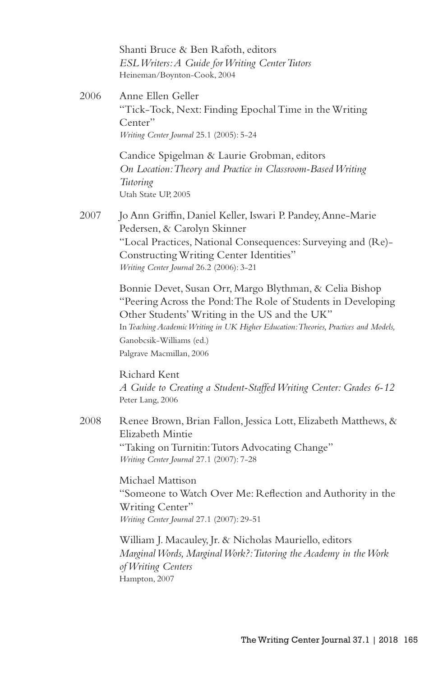Shanti Bruce & Ben Rafoth, editors *ESL Writers: A Guide for Writing Center Tutors* Heineman/Boynton-Cook, 2004

2006 Anne Ellen Geller "Tick-Tock, Next: Finding Epochal Time in the Writing Center" *Writing Center Journal* 25.1 (2005): 5-24

> Candice Spigelman & Laurie Grobman, editors *On Location: Theory and Practice in Classroom-Based Writing Tutoring* Utah State UP, 2005

2007 Jo Ann Griffin, Daniel Keller, Iswari P. Pandey, Anne-Marie Pedersen, & Carolyn Skinner "Local Practices, National Consequences: Surveying and (Re)- Constructing Writing Center Identities" *Writing Center Journal* 26.2 (2006): 3-21

> Bonnie Devet, Susan Orr, Margo Blythman, & Celia Bishop "Peering Across the Pond: The Role of Students in Developing Other Students' Writing in the US and the UK" In *Teaching Academic Writing in UK Higher Education: Theories, Practices and Models,* Ganobcsik-Williams (ed.) Palgrave Macmillan, 2006

> Richard Kent *A Guide to Creating a Student-Staffed Writing Center: Grades 6-12* Peter Lang, 2006

2008 Renee Brown, Brian Fallon, Jessica Lott, Elizabeth Matthews, & Elizabeth Mintie "Taking on Turnitin: Tutors Advocating Change" *Writing Center Journal* 27.1 (2007): 7-28

> Michael Mattison "Someone to Watch Over Me: Reflection and Authority in the Writing Center" *Writing Center Journal* 27.1 (2007): 29-51

William J. Macauley, Jr. & Nicholas Mauriello, editors *Marginal Words, Marginal Work?: Tutoring the Academy in the Work of Writing Centers* Hampton, 2007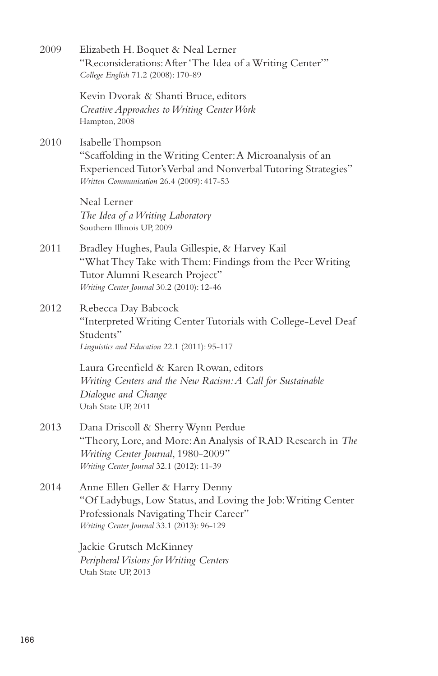| 2009 | Elizabeth H. Boquet & Neal Lerner<br>"Reconsiderations: After 'The Idea of a Writing Center'"<br>College English 71.2 (2008): 170-89                                                         |
|------|----------------------------------------------------------------------------------------------------------------------------------------------------------------------------------------------|
|      | Kevin Dvorak & Shanti Bruce, editors<br>Creative Approaches to Writing Center Work<br>Hampton, 2008                                                                                          |
| 2010 | Isabelle Thompson<br>"Scaffolding in the Writing Center: A Microanalysis of an<br>Experienced Tutor's Verbal and Nonverbal Tutoring Strategies"<br>Written Communication 26.4 (2009): 417-53 |
|      | Neal Lerner<br>The Idea of a Writing Laboratory<br>Southern Illinois UP, 2009                                                                                                                |
| 2011 | Bradley Hughes, Paula Gillespie, & Harvey Kail<br>"What They Take with Them: Findings from the Peer Writing<br>Tutor Alumni Research Project"<br>Writing Center Journal 30.2 (2010): 12-46   |
| 2012 | Rebecca Day Babcock<br>"Interpreted Writing Center Tutorials with College-Level Deaf<br>Students"<br>Linguistics and Education 22.1 (2011): 95-117                                           |
|      | Laura Greenfield & Karen Rowan, editors<br>Writing Centers and the New Racism: A Call for Sustainable<br>Dialogue and Change<br>Utah State UP, 2011                                          |
| 2013 | Dana Driscoll & Sherry Wynn Perdue<br>"Theory, Lore, and More: An Analysis of RAD Research in The<br>Writing Center Journal, 1980-2009"<br>Writing Center Journal 32.1 (2012): 11-39         |
| 2014 | Anne Ellen Geller & Harry Denny<br>"Of Ladybugs, Low Status, and Loving the Job: Writing Center<br>Professionals Navigating Their Career"<br>Writing Center Journal 33.1 (2013): 96-129      |
|      | Jackie Grutsch McKinney<br>Peripheral Visions for Writing Centers<br>Utah State UP, 2013                                                                                                     |